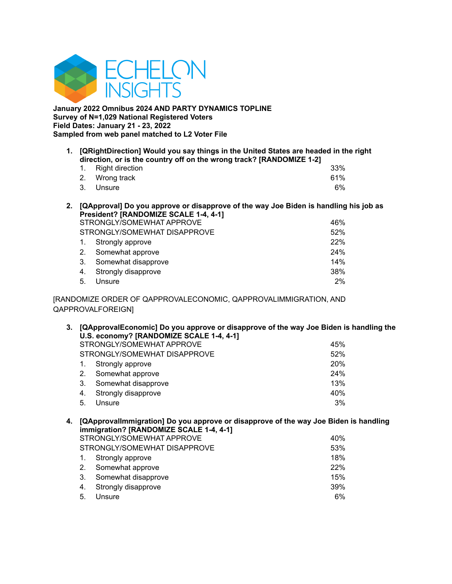

**January 2022 Omnibus 2024 AND PARTY DYNAMICS TOPLINE Survey of N=1,029 National Registered Voters Field Dates: January 21 - 23, 2022 Sampled from web panel matched to L2 Voter File**

**1. [QRightDirection] Would you say things in the United States are headed in the right direction, or is the country off on the wrong track? [RANDOMIZE 1-2]**

| 1. Right direction |  | 33% |
|--------------------|--|-----|
| 2. Wrong track     |  | 61% |
| 3. Unsure          |  | 6%  |

**2. [QApproval] Do you approve or disapprove of the way Joe Biden is handling his job as President? [RANDOMIZE SCALE 1-4, 4-1]**

|    | STRONGLY/SOMEWHAT APPROVE    | 46% |
|----|------------------------------|-----|
|    | STRONGLY/SOMEWHAT DISAPPROVE | 52% |
| 1. | Strongly approve             | 22% |
| 2. | Somewhat approve             | 24% |
| 3. | Somewhat disapprove          | 14% |
| 4. | Strongly disapprove          | 38% |
| 5. | Unsure                       | 2%  |

[RANDOMIZE ORDER OF QAPPROVALECONOMIC, QAPPROVALIMMIGRATION, AND QAPPROVALFOREIGN]

**3. [QApprovalEconomic] Do you approve or disapprove of the way Joe Biden is handling the U.S. economy? [RANDOMIZE SCALE 1-4, 4-1]** STRONGLY/SOMEWHAT APPROVE 45% STRONGLY/SOMEWHAT DISAPPROVE 52%

| 1. Strongly approve    | <b>20%</b> |
|------------------------|------------|
| 2. Somewhat approve    | <b>24%</b> |
| 3. Somewhat disapprove | 13%        |
| 4. Strongly disapprove | 40%        |
| 5. Unsure              | $3\%$      |

# **4. [QApprovalImmigration] Do you approve or disapprove of the way Joe Biden is handling immigration? [RANDOMIZE SCALE 1-4, 4-1]**

|    | STRONGLY/SOMEWHAT APPROVE    | 40% |
|----|------------------------------|-----|
|    | STRONGLY/SOMEWHAT DISAPPROVE | 53% |
| 1. | Strongly approve             | 18% |
| 2. | Somewhat approve             | 22% |
| 3. | Somewhat disapprove          | 15% |
| 4. | Strongly disapprove          | 39% |
| 5. | Unsure                       | 6%  |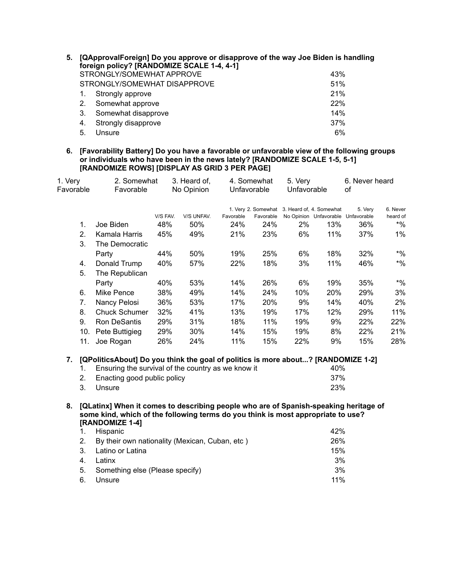| 5. |    | [QApprovalForeign] Do you approve or disapprove of the way Joe Biden is handling<br>foreign policy? [RANDOMIZE SCALE 1-4, 4-1] |     |
|----|----|--------------------------------------------------------------------------------------------------------------------------------|-----|
|    |    | STRONGLY/SOMEWHAT APPROVE                                                                                                      | 43% |
|    |    | STRONGLY/SOMEWHAT DISAPPROVE                                                                                                   | 51% |
|    |    | Strongly approve                                                                                                               | 21% |
|    | 2. | Somewhat approve                                                                                                               | 22% |
|    | 3. | Somewhat disapprove                                                                                                            | 14% |
|    | 4. | Strongly disapprove                                                                                                            | 37% |
|    | 5. | Unsure                                                                                                                         | 6%  |

**6. [Favorability Battery] Do you have a favorable or unfavorable view of the following groups or individuals who have been in the news lately? [RANDOMIZE SCALE 1-5, 5-1] [RANDOMIZE ROWS] [DISPLAY AS GRID 3 PER PAGE]**

| 1. Very   | 2. Somewhat<br>3. Heard of,                                                                         |          | 4. Somewhat |             | 5. Very   |                                              | 6. Never heard |                                               |                      |
|-----------|-----------------------------------------------------------------------------------------------------|----------|-------------|-------------|-----------|----------------------------------------------|----------------|-----------------------------------------------|----------------------|
| Favorable | Favorable                                                                                           |          | No Opinion  | Unfavorable |           | Unfavorable                                  |                | οf                                            |                      |
|           |                                                                                                     | V/S FAV. | V/S UNFAV.  | Favorable   | Favorable | 1. Very 2. Somewhat 3. Heard of, 4. Somewhat |                | 5. Very<br>No Opinion Unfavorable Unfavorable | 6. Never<br>heard of |
| 1.        | Joe Biden                                                                                           | 48%      | 50%         | 24%         | 24%       | 2%                                           | 13%            | 36%                                           | $*$ %                |
| 2.        | Kamala Harris                                                                                       | 45%      | 49%         | 21%         | 23%       | 6%                                           | 11%            | 37%                                           | $1\%$                |
| 3.        | The Democratic                                                                                      |          |             |             |           |                                              |                |                                               |                      |
|           | Party                                                                                               | 44%      | 50%         | 19%         | 25%       | 6%                                           | 18%            | 32%                                           | $*9/0$               |
| 4.        | Donald Trump                                                                                        | 40%      | 57%         | 22%         | 18%       | 3%                                           | 11%            | 46%                                           | $*9/0$               |
| 5.        | The Republican                                                                                      |          |             |             |           |                                              |                |                                               |                      |
|           | Party                                                                                               | 40%      | 53%         | 14%         | 26%       | 6%                                           | 19%            | 35%                                           | $*9/6$               |
| 6.        | Mike Pence                                                                                          | 38%      | 49%         | 14%         | 24%       | 10%                                          | 20%            | 29%                                           | 3%                   |
| 7.        | Nancy Pelosi                                                                                        | 36%      | 53%         | 17%         | 20%       | 9%                                           | 14%            | 40%                                           | 2%                   |
| 8.        | <b>Chuck Schumer</b>                                                                                | 32%      | 41%         | 13%         | 19%       | 17%                                          | 12%            | 29%                                           | 11%                  |
| 9.        | Ron DeSantis                                                                                        | 29%      | 31%         | 18%         | 11%       | 19%                                          | 9%             | 22%                                           | 22%                  |
|           | 10.<br>Pete Buttigieg                                                                               | 29%      | 30%         | 14%         | 15%       | 19%                                          | 8%             | 22%                                           | 21%                  |
| 11.       | Joe Rogan                                                                                           | 26%      | 24%         | 11%         | 15%       | 22%                                          | 9%             | 15%                                           | 28%                  |
| 7.        | [QPoliticsAbout] Do you think the goal of politics is more about? [RANDOMIZE 1-2]                   |          |             |             |           |                                              |                |                                               |                      |
| 1.        | Ensuring the survival of the country as we know it                                                  |          |             |             |           |                                              | 40%            |                                               |                      |
| 2.        | Enacting good public policy                                                                         |          |             |             |           |                                              | 37%            |                                               |                      |
| 3.        | Unsure                                                                                              |          |             |             |           |                                              | 23%            |                                               |                      |
| 8.        | [QLatinx] When it comes to describing people who are of Spanish-speaking heritage of                |          |             |             |           |                                              |                |                                               |                      |
|           | some kind, which of the following terms do you think is most appropriate to use?<br>[RANDOMIZE 1-4] |          |             |             |           |                                              |                |                                               |                      |
| 1.        | Hispanic                                                                                            |          |             |             |           |                                              | 42%            |                                               |                      |
| 2.        | By their own nationality (Mexican, Cuban, etc)                                                      |          |             |             |           |                                              | 26%            |                                               |                      |
| 3.        | Latino or Latina                                                                                    |          |             |             |           |                                              | 15%            |                                               |                      |

4. Latinx 3% 5. Something else (Please specify) 3% 6. Unsure 11%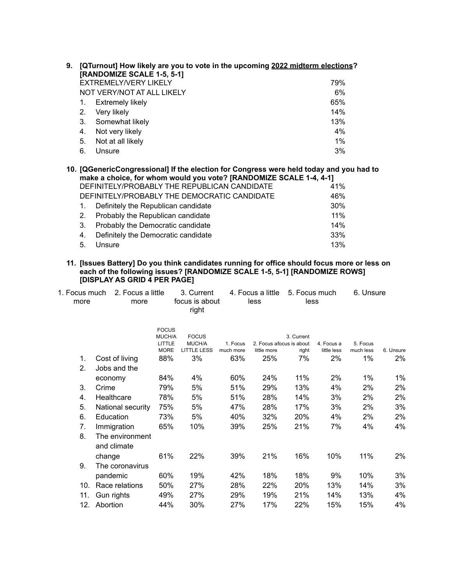| 9. |    | [QTurnout] How likely are you to vote in the upcoming 2022 midterm elections?<br><b>[RANDOMIZE SCALE 1-5, 5-1]</b> |       |
|----|----|--------------------------------------------------------------------------------------------------------------------|-------|
|    |    | <b>EXTREMELY/VERY LIKELY</b>                                                                                       | 79%   |
|    |    | NOT VERY/NOT AT ALL LIKELY                                                                                         | 6%    |
|    | 1. | <b>Extremely likely</b>                                                                                            | 65%   |
|    | 2. | Very likely                                                                                                        | 14%   |
|    | 3. | Somewhat likely                                                                                                    | 13%   |
|    | 4. | Not very likely                                                                                                    | 4%    |
|    | 5. | Not at all likely                                                                                                  | $1\%$ |
|    | 6. | Unsure                                                                                                             | 3%    |
|    |    |                                                                                                                    |       |

**10. [QGenericCongressional] If the election for Congress were held today and you had to make a choice, for whom would you vote? [RANDOMIZE SCALE 1-4, 4-1]** DEFINITELY/PROBABLY THE REPUBLICAN CANDIDATE 41% DEFINITELY/PROBABLY THE DEMOCRATIC CANDIDATE 46% 1. Definitely the Republican candidate 30% 2. Probably the Republican candidate 11% 3. Probably the Democratic candidate 14% 4. Definitely the Democratic candidate 33%

5. Unsure 13%

# **11. [Issues Battery] Do you think candidates running for office should focus more or less on each of the following issues? [RANDOMIZE SCALE 1-5, 5-1] [RANDOMIZE ROWS] [DISPLAY AS GRID 4 PER PAGE]**

| 1. Focus much<br>more | 2. Focus a little<br>more      |                        | 3. Current<br>focus is about<br>right |           | 4. Focus a little<br>less | 5. Focus much<br>less |             | 6. Unsure |           |
|-----------------------|--------------------------------|------------------------|---------------------------------------|-----------|---------------------------|-----------------------|-------------|-----------|-----------|
|                       |                                | <b>FOCUS</b><br>MUCH/A | <b>FOCUS</b>                          |           |                           | 3. Current            |             |           |           |
|                       |                                | LITTLE                 | MUCH/A                                | 1. Focus  | 2. Focus afocus is about  |                       | 4. Focus a  | 5. Focus  |           |
|                       |                                | <b>MORE</b>            | <b>LITTLE LESS</b>                    | much more | little more               | right                 | little less | much less | 6. Unsure |
| 1.                    | Cost of living                 | 88%                    | 3%                                    | 63%       | 25%                       | 7%                    | 2%          | $1\%$     | 2%        |
| 2.                    | Jobs and the                   |                        |                                       |           |                           |                       |             |           |           |
|                       | economy                        | 84%                    | 4%                                    | 60%       | 24%                       | 11%                   | 2%          | $1\%$     | $1\%$     |
| 3.                    | Crime                          | 79%                    | 5%                                    | 51%       | 29%                       | 13%                   | 4%          | 2%        | 2%        |
| 4.                    | Healthcare                     | 78%                    | 5%                                    | 51%       | 28%                       | 14%                   | 3%          | 2%        | 2%        |
| 5.                    | National security              | 75%                    | 5%                                    | 47%       | 28%                       | 17%                   | 3%          | 2%        | 3%        |
| 6.                    | Education                      | 73%                    | 5%                                    | 40%       | 32%                       | 20%                   | 4%          | 2%        | 2%        |
| 7.                    | Immigration                    | 65%                    | 10%                                   | 39%       | 25%                       | 21%                   | 7%          | 4%        | 4%        |
| 8.                    | The environment<br>and climate |                        |                                       |           |                           |                       |             |           |           |
|                       | change                         | 61%                    | 22%                                   | 39%       | 21%                       | 16%                   | 10%         | 11%       | 2%        |
| 9.                    | The coronavirus                |                        |                                       |           |                           |                       |             |           |           |
|                       | pandemic                       | 60%                    | 19%                                   | 42%       | 18%                       | 18%                   | 9%          | 10%       | 3%        |
| 10.                   | Race relations                 | 50%                    | 27%                                   | 28%       | 22%                       | 20%                   | 13%         | 14%       | 3%        |
| 11.                   | Gun rights                     | 49%                    | 27%                                   | 29%       | 19%                       | 21%                   | 14%         | 13%       | 4%        |
| 12.                   | Abortion                       | 44%                    | 30%                                   | 27%       | 17%                       | 22%                   | 15%         | 15%       | 4%        |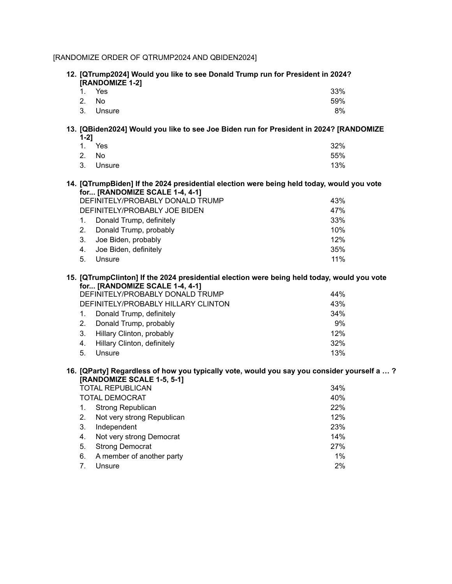# [RANDOMIZE ORDER OF QTRUMP2024 AND QBIDEN2024]

|           | 12. [QTrump2024] Would you like to see Donald Trump run for President in 2024?<br>[RANDOMIZE 1-2]                             |     |
|-----------|-------------------------------------------------------------------------------------------------------------------------------|-----|
| 1.        | Yes                                                                                                                           | 33% |
| 2.        | <b>No</b>                                                                                                                     | 59% |
| 3.        | Unsure                                                                                                                        | 8%  |
| $1 - 2$ ] | 13. [QBiden2024] Would you like to see Joe Biden run for President in 2024? [RANDOMIZE                                        |     |
| 1.        | Yes                                                                                                                           | 32% |
| 2.        | <b>No</b>                                                                                                                     | 55% |
| 3.        | Unsure                                                                                                                        | 13% |
|           | 14. [QTrumpBiden] If the 2024 presidential election were being held today, would you vote<br>for [RANDOMIZE SCALE 1-4, 4-1]   |     |
|           | DEFINITELY/PROBABLY DONALD TRUMP                                                                                              | 43% |
|           | DEFINITELY/PROBABLY JOE BIDEN                                                                                                 | 47% |
| 1.        | Donald Trump, definitely                                                                                                      | 33% |
| 2.        | Donald Trump, probably                                                                                                        | 10% |
| 3.        | Joe Biden, probably                                                                                                           | 12% |
| 4.        | Joe Biden, definitely                                                                                                         | 35% |
| 5.        | Unsure                                                                                                                        | 11% |
|           | 15. [QTrumpClinton] If the 2024 presidential election were being held today, would you vote<br>for [RANDOMIZE SCALE 1-4, 4-1] |     |
|           | DEFINITELY/PROBABLY DONALD TRUMP                                                                                              | 44% |
|           | DEFINITELY/PROBABLY HILLARY CLINTON                                                                                           | 43% |
| 1.        | Donald Trump, definitely                                                                                                      | 34% |
| 2.        | Donald Trump, probably                                                                                                        | 9%  |
| 3.        | Hillary Clinton, probably                                                                                                     | 12% |
| 4.        | Hillary Clinton, definitely                                                                                                   | 32% |
| 5.        | Unsure                                                                                                                        | 13% |
|           | 16. [QParty] Regardless of how you typically vote, would you say you consider yourself a ?<br>[RANDOMIZE SCALE 1-5, 5-1]      |     |
|           | <b>TOTAL REPUBLICAN</b>                                                                                                       | 34% |
|           | <b>TOTAL DEMOCRAT</b>                                                                                                         | 40% |
| 1.        | <b>Strong Republican</b>                                                                                                      | 22% |
| 2.        | Not very strong Republican                                                                                                    | 12% |
| 3.        | Independent                                                                                                                   | 23% |
| 4.        | Not very strong Democrat                                                                                                      | 14% |
| 5.        | <b>Strong Democrat</b>                                                                                                        | 27% |
| 6.        | A member of another party                                                                                                     | 1%  |

7. Unsure 2%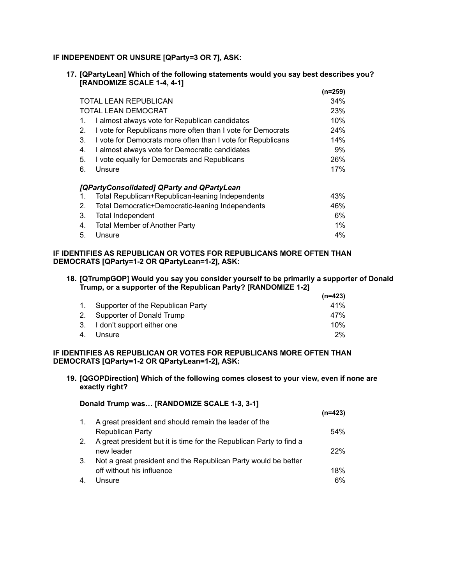# **IF INDEPENDENT OR UNSURE [QParty=3 OR 7], ASK:**

**17. [QPartyLean] Which of the following statements would you say best describes you? [RANDOMIZE SCALE 1-4, 4-1]**

|    |                                                             | (n=259) |
|----|-------------------------------------------------------------|---------|
|    | <b>TOTAL LEAN REPUBLICAN</b>                                | 34%     |
|    | <b>TOTAL LEAN DEMOCRAT</b>                                  | 23%     |
| 1. | I almost always vote for Republican candidates              | 10%     |
| 2. | I vote for Republicans more often than I vote for Democrats | 24%     |
| 3. | I vote for Democrats more often than I vote for Republicans | 14%     |
| 4. | I almost always vote for Democratic candidates              | 9%      |
| 5. | I vote equally for Democrats and Republicans                | 26%     |
| 6. | Unsure                                                      | 17%     |
|    | [QPartyConsolidated] QParty and QPartyLean                  |         |
| 1. | Total Republican+Republican-leaning Independents            | 43%     |
| 2. | Total Democratic+Democratic-leaning Independents            | 46%     |
| 3. | <b>Total Independent</b>                                    | 6%      |
| 4. | <b>Total Member of Another Party</b>                        | $1\%$   |
| 5. | Unsure                                                      | 4%      |

# **IF IDENTIFIES AS REPUBLICAN OR VOTES FOR REPUBLICANS MORE OFTEN THAN DEMOCRATS [QParty=1-2 OR QPartyLean=1-2], ASK:**

### **18. [QTrumpGOP] Would you say you consider yourself to be primarily a supporter of Donald Trump, or a supporter of the Republican Party? [RANDOMIZE 1-2]**

|                                      | (n=423) |
|--------------------------------------|---------|
| 1. Supporter of the Republican Party | 41%     |
| 2. Supporter of Donald Trump         | 47%     |
| 3. I don't support either one        | 10%     |
| 4. Unsure                            | $2\%$   |

# **IF IDENTIFIES AS REPUBLICAN OR VOTES FOR REPUBLICANS MORE OFTEN THAN DEMOCRATS [QParty=1-2 OR QPartyLean=1-2], ASK:**

**19. [QGOPDirection] Which of the following comes closest to your view, even if none are exactly right?**

# **Donald Trump was… [RANDOMIZE SCALE 1-3, 3-1] (n=423)** 1. A great president and should remain the leader of the Republican Party 64% 2. A great president but it is time for the Republican Party to find a new leader 22% 3. Not a great president and the Republican Party would be better off without his influence 18% 4. Unsure 6%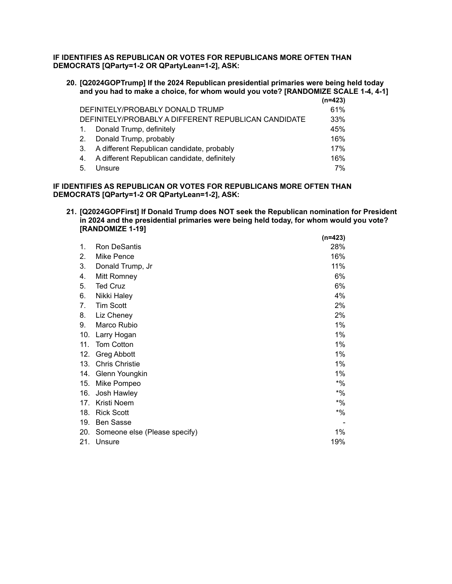**IF IDENTIFIES AS REPUBLICAN OR VOTES FOR REPUBLICANS MORE OFTEN THAN DEMOCRATS [QParty=1-2 OR QPartyLean=1-2], ASK:**

**20. [Q2024GOPTrump] If the 2024 Republican presidential primaries were being held today and you had to make a choice, for whom would you vote? [RANDOMIZE SCALE 1-4, 4-1]**

|                |                                                      | $(n=423)$ |
|----------------|------------------------------------------------------|-----------|
|                | DEFINITELY/PROBABLY DONALD TRUMP                     | 61%       |
|                | DEFINITELY/PROBABLY A DIFFERENT REPUBLICAN CANDIDATE | 33%       |
| $\mathbf{1}$ . | Donald Trump, definitely                             | 45%       |
| 2.             | Donald Trump, probably                               | 16%       |
| 3.             | A different Republican candidate, probably           | 17%       |
| 4.             | A different Republican candidate, definitely         | 16%       |
| -5.            | Unsure                                               | 7%        |

# **IF IDENTIFIES AS REPUBLICAN OR VOTES FOR REPUBLICANS MORE OFTEN THAN DEMOCRATS [QParty=1-2 OR QPartyLean=1-2], ASK:**

**21. [Q2024GOPFirst] If Donald Trump does NOT seek the Republican nomination for President in 2024 and the presidential primaries were being held today, for whom would you vote? [RANDOMIZE 1-19] (n=423)**

|     |                               | (n=423) |
|-----|-------------------------------|---------|
| 1.  | Ron DeSantis                  | 28%     |
| 2.  | Mike Pence                    | 16%     |
| 3.  | Donald Trump, Jr              | 11%     |
| 4.  | Mitt Romney                   | 6%      |
| 5.  | <b>Ted Cruz</b>               | 6%      |
| 6.  | Nikki Haley                   | 4%      |
| 7.  | <b>Tim Scott</b>              | 2%      |
| 8.  | Liz Cheney                    | 2%      |
| 9.  | Marco Rubio                   | 1%      |
| 10. | Larry Hogan                   | 1%      |
| 11. | Tom Cotton                    | 1%      |
| 12. | <b>Greg Abbott</b>            | 1%      |
| 13. | <b>Chris Christie</b>         | 1%      |
| 14. | Glenn Youngkin                | 1%      |
| 15. | Mike Pompeo                   | $*9/6$  |
| 16. | Josh Hawley                   | $*$ %   |
| 17. | Kristi Noem                   | $*$ %   |
| 18. | <b>Rick Scott</b>             | $*9/6$  |
| 19. | <b>Ben Sasse</b>              |         |
| 20. | Someone else (Please specify) | $1\%$   |
| 21. | Unsure                        | 19%     |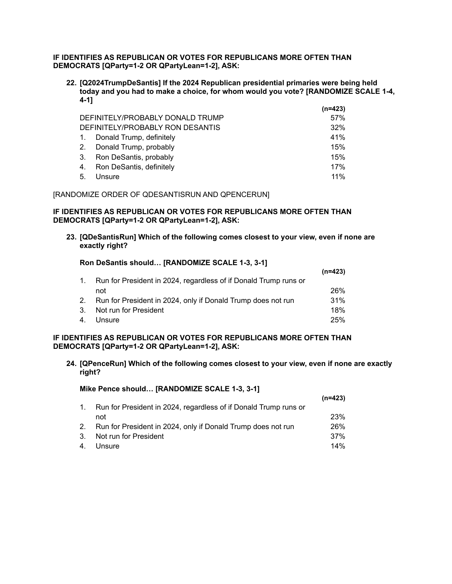# **IF IDENTIFIES AS REPUBLICAN OR VOTES FOR REPUBLICANS MORE OFTEN THAN DEMOCRATS [QParty=1-2 OR QPartyLean=1-2], ASK:**

**22. [Q2024TrumpDeSantis] If the 2024 Republican presidential primaries were being held today and you had to make a choice, for whom would you vote? [RANDOMIZE SCALE 1-4, 4-1]**

|                  |                                  | (n=423) |
|------------------|----------------------------------|---------|
|                  | DEFINITELY/PROBABLY DONALD TRUMP | 57%     |
|                  | DEFINITELY/PROBABLY RON DESANTIS | 32%     |
| $\overline{1}$ . | Donald Trump, definitely         | 41%     |
| 2.               | Donald Trump, probably           | 15%     |
| 3.               | Ron DeSantis, probably           | 15%     |
| 4.               | Ron DeSantis, definitely         | 17%     |
| 5.               | Unsure                           | 11%     |

#### [RANDOMIZE ORDER OF QDESANTISRUN AND QPENCERUN]

# **IF IDENTIFIES AS REPUBLICAN OR VOTES FOR REPUBLICANS MORE OFTEN THAN DEMOCRATS [QParty=1-2 OR QPartyLean=1-2], ASK:**

**23. [QDeSantisRun] Which of the following comes closest to your view, even if none are exactly right?**

#### **Ron DeSantis should… [RANDOMIZE SCALE 1-3, 3-1]**

**Mike Pence should… [RANDOMIZE SCALE 1-3, 3-1]**

|         |                                                                  | $(n=423)$ |
|---------|------------------------------------------------------------------|-----------|
| $1_{-}$ | Run for President in 2024, regardless of if Donald Trump runs or |           |
|         | not                                                              | 26%       |
|         | 2. Run for President in 2024, only if Donald Trump does not run  | 31%       |
|         | 3. Not run for President                                         | 18%       |
|         | 4. Unsure                                                        | 25%       |

## **IF IDENTIFIES AS REPUBLICAN OR VOTES FOR REPUBLICANS MORE OFTEN THAN DEMOCRATS [QParty=1-2 OR QPartyLean=1-2], ASK:**

**24. [QPenceRun] Which of the following comes closest to your view, even if none are exactly right?**

|         |                                                                  | (n=423)    |
|---------|------------------------------------------------------------------|------------|
| $1_{-}$ | Run for President in 2024, regardless of if Donald Trump runs or |            |
|         | not                                                              | <b>23%</b> |
| 2.      | Run for President in 2024, only if Donald Trump does not run     | 26%        |
| 3.      | Not run for President                                            | 37%        |
| 4.      | Unsure                                                           | $14\%$     |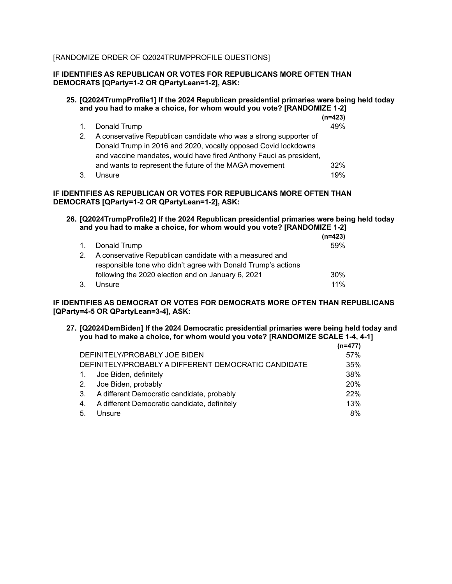# [RANDOMIZE ORDER OF Q2024TRUMPPROFILE QUESTIONS]

# **IF IDENTIFIES AS REPUBLICAN OR VOTES FOR REPUBLICANS MORE OFTEN THAN DEMOCRATS [QParty=1-2 OR QPartyLean=1-2], ASK:**

#### **25. [Q2024TrumpProfile1] If the 2024 Republican presidential primaries were being held today and you had to make a choice, for whom would you vote? [RANDOMIZE 1-2]**  $(n-422)$

|                |                                                                    | 111-747 |
|----------------|--------------------------------------------------------------------|---------|
| 1.             | Donald Trump                                                       | 49%     |
| 2 <sub>1</sub> | A conservative Republican candidate who was a strong supporter of  |         |
|                | Donald Trump in 2016 and 2020, vocally opposed Covid lockdowns     |         |
|                | and vaccine mandates, would have fired Anthony Fauci as president, |         |
|                | and wants to represent the future of the MAGA movement             | 32%     |
| 3.             | Unsure                                                             | 19%     |

#### **IF IDENTIFIES AS REPUBLICAN OR VOTES FOR REPUBLICANS MORE OFTEN THAN DEMOCRATS [QParty=1-2 OR QPartyLean=1-2], ASK:**

# **26. [Q2024TrumpProfile2] If the 2024 Republican presidential primaries were being held today and you had to make a choice, for whom would you vote? [RANDOMIZE 1-2]**

|    |                                                               | $(n=423)$ |
|----|---------------------------------------------------------------|-----------|
|    | 1. Donald Trump                                               | 59%       |
| 2. | A conservative Republican candidate with a measured and       |           |
|    | responsible tone who didn't agree with Donald Trump's actions |           |
|    | following the 2020 election and on January 6, 2021            | 30%       |
| 3. | Unsure                                                        | 11%       |

# **IF IDENTIFIES AS DEMOCRAT OR VOTES FOR DEMOCRATS MORE OFTEN THAN REPUBLICANS [QParty=4-5 OR QPartyLean=3-4], ASK:**

**27. [Q2024DemBiden] If the 2024 Democratic presidential primaries were being held today and you had to make a choice, for whom would you vote? [RANDOMIZE SCALE 1-4, 4-1]**

|    |                                                      | (n=477) |
|----|------------------------------------------------------|---------|
|    | DEFINITELY/PROBABLY JOE BIDEN                        | 57%     |
|    | DEFINITELY/PROBABLY A DIFFERENT DEMOCRATIC CANDIDATE | 35%     |
| 1. | Joe Biden, definitely                                | 38%     |
| 2. | Joe Biden, probably                                  | 20%     |
| 3. | A different Democratic candidate, probably           | 22%     |
| 4. | A different Democratic candidate, definitely         | 13%     |
| 5. | Unsure                                               | 8%      |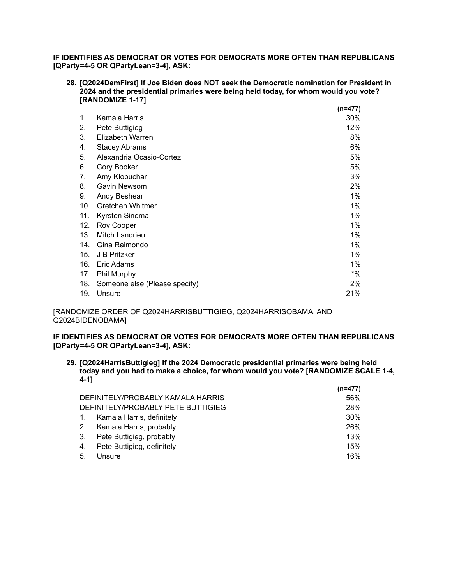**IF IDENTIFIES AS DEMOCRAT OR VOTES FOR DEMOCRATS MORE OFTEN THAN REPUBLICANS [QParty=4-5 OR QPartyLean=3-4], ASK:**

**28. [Q2024DemFirst] If Joe Biden does NOT seek the Democratic nomination for President in 2024 and the presidential primaries were being held today, for whom would you vote? [RANDOMIZE 1-17]**

|     |                               | $(n=477)$ |
|-----|-------------------------------|-----------|
| 1.  | Kamala Harris                 | 30%       |
| 2.  | Pete Buttigieg                | 12%       |
| 3.  | Elizabeth Warren              | 8%        |
| 4.  | <b>Stacey Abrams</b>          | 6%        |
| 5.  | Alexandria Ocasio-Cortez      | 5%        |
| 6.  | Cory Booker                   | 5%        |
| 7.  | Amy Klobuchar                 | 3%        |
| 8.  | Gavin Newsom                  | 2%        |
| 9.  | Andy Beshear                  | 1%        |
| 10. | Gretchen Whitmer              | 1%        |
| 11. | Kyrsten Sinema                | $1\%$     |
| 12. | Roy Cooper                    | 1%        |
| 13. | Mitch Landrieu                | 1%        |
| 14. | Gina Raimondo                 | 1%        |
| 15. | J B Pritzker                  | $1\%$     |
| 16. | Eric Adams                    | 1%        |
| 17. | Phil Murphy                   | $*9/6$    |
| 18. | Someone else (Please specify) | 2%        |
| 19. | Unsure                        | 21%       |

[RANDOMIZE ORDER OF Q2024HARRISBUTTIGIEG, Q2024HARRISOBAMA, AND Q2024BIDENOBAMA]

**IF IDENTIFIES AS DEMOCRAT OR VOTES FOR DEMOCRATS MORE OFTEN THAN REPUBLICANS [QParty=4-5 OR QPartyLean=3-4], ASK:**

**29. [Q2024HarrisButtigieg] If the 2024 Democratic presidential primaries were being held today and you had to make a choice, for whom would you vote? [RANDOMIZE SCALE 1-4, 4-1] (n=477)**

|                                    | $(n=4/7)$ |
|------------------------------------|-----------|
| DEFINITELY/PROBABLY KAMALA HARRIS  | 56%       |
| DEFINITELY/PROBABLY PETE BUTTIGIEG | 28%       |
| Kamala Harris, definitely          | 30%       |
| Kamala Harris, probably            | 26%       |
| Pete Buttigieg, probably           | 13%       |
| Pete Buttigieg, definitely         | 15%       |
| Unsure                             | 16%       |
|                                    |           |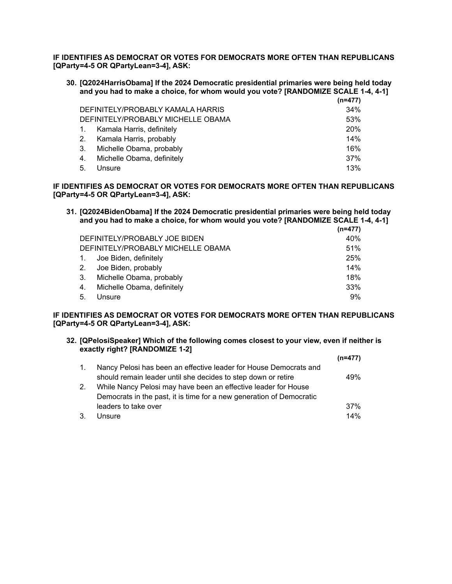**IF IDENTIFIES AS DEMOCRAT OR VOTES FOR DEMOCRATS MORE OFTEN THAN REPUBLICANS [QParty=4-5 OR QPartyLean=3-4], ASK:**

**30. [Q2024HarrisObama] If the 2024 Democratic presidential primaries were being held today and you had to make a choice, for whom would you vote? [RANDOMIZE SCALE 1-4, 4-1]**

|                  |                                    | $(n=477)$  |
|------------------|------------------------------------|------------|
|                  | DEFINITELY/PROBABLY KAMALA HARRIS  | 34%        |
|                  | DEFINITELY/PROBABLY MICHELLE OBAMA | 53%        |
| $\overline{1}$ . | Kamala Harris, definitely          | <b>20%</b> |
| 2.               | Kamala Harris, probably            | 14%        |
| 3.               | Michelle Obama, probably           | 16%        |
| 4.               | Michelle Obama, definitely         | 37%        |
| 5.               | Unsure                             | 13%        |

**IF IDENTIFIES AS DEMOCRAT OR VOTES FOR DEMOCRATS MORE OFTEN THAN REPUBLICANS [QParty=4-5 OR QPartyLean=3-4], ASK:**

**31. [Q2024BidenObama] If the 2024 Democratic presidential primaries were being held today and you had to make a choice, for whom would you vote? [RANDOMIZE SCALE 1-4, 4-1] (n=477)**

|           |                                    | $(11 - 477)$ |
|-----------|------------------------------------|--------------|
|           | DEFINITELY/PROBABLY JOE BIDEN      | 40%          |
|           | DEFINITELY/PROBABLY MICHELLE OBAMA | 51%          |
| $\sim$ 1. | Joe Biden, definitely              | 25%          |
| 2.        | Joe Biden, probably                | 14%          |
| 3.        | Michelle Obama, probably           | 18%          |
| 4.        | Michelle Obama, definitely         | 33%          |
| 5.        | Unsure                             | 9%           |

**IF IDENTIFIES AS DEMOCRAT OR VOTES FOR DEMOCRATS MORE OFTEN THAN REPUBLICANS [QParty=4-5 OR QPartyLean=3-4], ASK:**

# **32. [QPelosiSpeaker] Which of the following comes closest to your view, even if neither is exactly right? [RANDOMIZE 1-2]**

|                |                                                                      | $(n=477)$ |
|----------------|----------------------------------------------------------------------|-----------|
| $\mathbf{1}$ . | Nancy Pelosi has been an effective leader for House Democrats and    |           |
|                | should remain leader until she decides to step down or retire        | 49%       |
| 2.             | While Nancy Pelosi may have been an effective leader for House       |           |
|                | Democrats in the past, it is time for a new generation of Democratic |           |
|                | leaders to take over                                                 | 37%       |
| 3.             | Unsure                                                               | 14%       |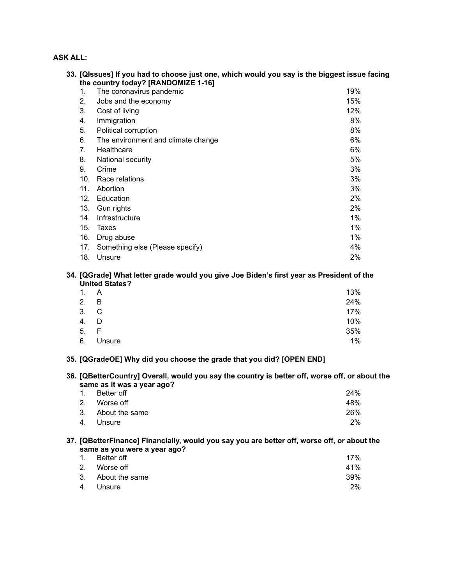# **ASK ALL:**

|     | 33. [QIssues] If you had to choose just one, which would you say is the biggest issue facing<br>the country today? [RANDOMIZE 1-16] |       |  |
|-----|-------------------------------------------------------------------------------------------------------------------------------------|-------|--|
| 1.  | The coronavirus pandemic                                                                                                            | 19%   |  |
| 2.  | Jobs and the economy                                                                                                                | 15%   |  |
| 3.  | Cost of living                                                                                                                      | 12%   |  |
| 4.  | Immigration                                                                                                                         | 8%    |  |
| 5.  | Political corruption                                                                                                                | 8%    |  |
| 6.  | The environment and climate change                                                                                                  | 6%    |  |
| 7.  | Healthcare                                                                                                                          | 6%    |  |
| 8.  | National security                                                                                                                   | 5%    |  |
| 9.  | Crime                                                                                                                               | 3%    |  |
| 10. | Race relations                                                                                                                      | 3%    |  |
| 11. | Abortion                                                                                                                            | 3%    |  |
| 12. | Education                                                                                                                           | 2%    |  |
| 13. | Gun rights                                                                                                                          | 2%    |  |
| 14. | Infrastructure                                                                                                                      | $1\%$ |  |
| 15. | Taxes                                                                                                                               | $1\%$ |  |
| 16. | Drug abuse                                                                                                                          | $1\%$ |  |
| 17. | Something else (Please specify)                                                                                                     | 4%    |  |
| 18. | Unsure                                                                                                                              | 2%    |  |

#### **34. [QGrade] What letter grade would you give Joe Biden's first year as President of the United States?**

| 1. A |        | 13% |
|------|--------|-----|
| 2. B |        | 24% |
|      | 3. C   | 17% |
| 4.   | D      | 10% |
| 5.   | - F    | 35% |
| 6.   | Unsure | 1%  |

# **35. [QGradeOE] Why did you choose the grade that you did? [OPEN END]**

**36. [QBetterCountry] Overall, would you say the country is better off, worse off, or about the same as it was a year ago?**

| 1. Better off     | 24% |
|-------------------|-----|
| 2. Worse off      | 48% |
| 3. About the same | 26% |
| 4. Unsure         | 2%  |

#### **37. [QBetterFinance] Financially, would you say you are better off, worse off, or about the same as you were a year ago?**

| 1. Better off     | 17%   |
|-------------------|-------|
| 2. Worse off      | 41%   |
| 3. About the same | 39%   |
| 4. Unsure         | $2\%$ |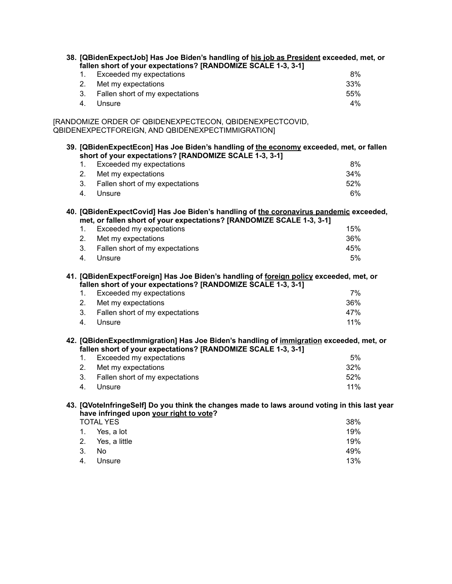|                     | fallen short of your expectations? [RANDOMIZE SCALE 1-3, 3-1]                                                 | 38. [QBidenExpectJob] Has Joe Biden's handling of his job as President exceeded, met, or      |
|---------------------|---------------------------------------------------------------------------------------------------------------|-----------------------------------------------------------------------------------------------|
| 1.                  | Exceeded my expectations                                                                                      | 8%                                                                                            |
| 2.                  | Met my expectations                                                                                           | 33%                                                                                           |
| 3.                  | Fallen short of my expectations                                                                               | 55%                                                                                           |
| 4.<br>Unsure        |                                                                                                               | 4%                                                                                            |
|                     | [RANDOMIZE ORDER OF QBIDENEXPECTECON, QBIDENEXPECTCOVID,<br>QBIDENEXPECTFOREIGN, AND QBIDENEXPECTIMMIGRATION] |                                                                                               |
|                     | short of your expectations? [RANDOMIZE SCALE 1-3, 3-1]                                                        | 39. [QBidenExpectEcon] Has Joe Biden's handling of the economy exceeded, met, or fallen       |
| 1.                  | Exceeded my expectations                                                                                      | 8%                                                                                            |
| 2.                  | Met my expectations                                                                                           | 34%                                                                                           |
| 3.                  | Fallen short of my expectations                                                                               | 52%                                                                                           |
| 4.<br>Unsure        |                                                                                                               | 6%                                                                                            |
|                     | met, or fallen short of your expectations? [RANDOMIZE SCALE 1-3, 3-1]                                         | 40. [QBidenExpectCovid] Has Joe Biden's handling of the coronavirus pandemic exceeded,        |
| 1.                  | Exceeded my expectations                                                                                      | 15%                                                                                           |
| 2.                  | Met my expectations                                                                                           | 36%                                                                                           |
| 3.                  | Fallen short of my expectations                                                                               | 45%                                                                                           |
| Unsure<br>4.        |                                                                                                               | 5%                                                                                            |
|                     | fallen short of your expectations? [RANDOMIZE SCALE 1-3, 3-1]                                                 | 41. [QBidenExpectForeign] Has Joe Biden's handling of foreign policy exceeded, met, or        |
| 1.                  | Exceeded my expectations                                                                                      | 7%                                                                                            |
| 2.                  | Met my expectations                                                                                           | 36%                                                                                           |
| 3.                  | Fallen short of my expectations                                                                               | 47%                                                                                           |
| Unsure<br>4.        |                                                                                                               | 11%                                                                                           |
|                     | fallen short of your expectations? [RANDOMIZE SCALE 1-3, 3-1]                                                 | 42. [QBidenExpectImmigration] Has Joe Biden's handling of immigration exceeded, met, or       |
| 1.                  | Exceeded my expectations                                                                                      | 5%                                                                                            |
| 2.                  | Met my expectations                                                                                           | 32%                                                                                           |
| 3.                  | Fallen short of my expectations                                                                               | 52%                                                                                           |
| Unsure<br>4.        |                                                                                                               | 11%                                                                                           |
|                     | have infringed upon your right to vote?                                                                       | 43. [QVoteInfringeSelf] Do you think the changes made to laws around voting in this last year |
| <b>TOTAL YES</b>    |                                                                                                               | 38%                                                                                           |
| Yes, a lot<br>1.    |                                                                                                               | 19%                                                                                           |
| 2.<br>Yes, a little |                                                                                                               | 19%                                                                                           |
| 3.<br>No            |                                                                                                               | 49%                                                                                           |
|                     |                                                                                                               |                                                                                               |

4. Unsure 13%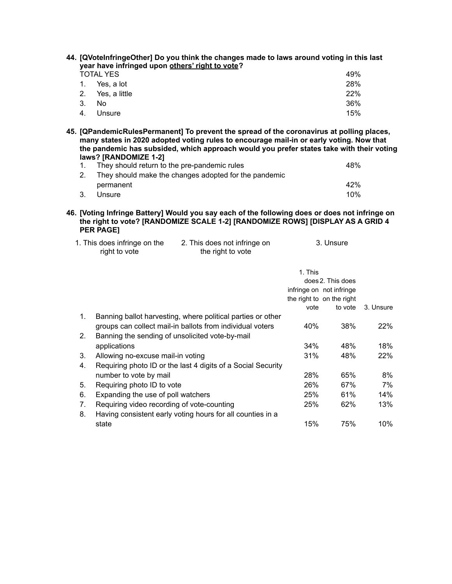|                | 44. [QVoteInfringeOther] Do you think the changes made to laws around voting in this last |     |  |
|----------------|-------------------------------------------------------------------------------------------|-----|--|
|                | year have infringed upon others' right to vote?                                           |     |  |
|                | TOTAL YES                                                                                 | 49% |  |
|                | 1. Yes. a lot                                                                             | 28% |  |
| 2 <sub>1</sub> | Yes, a little                                                                             | 22% |  |

| 3. No |           | 36% |
|-------|-----------|-----|
|       | 4. Unsure | 15% |

**45. [QPandemicRulesPermanent] To prevent the spread of the coronavirus at polling places, many states in 2020 adopted voting rules to encourage mail-in or early voting. Now that the pandemic has subsided, which approach would you prefer states take with their voting laws? [RANDOMIZE 1-2]**

|    | They should return to the pre-pandemic rules          | 48% |
|----|-------------------------------------------------------|-----|
| 2. | They should make the changes adopted for the pandemic |     |
|    | permanent                                             | 42% |
|    | Unsure                                                | 10% |

**46. [Voting Infringe Battery] Would you say each of the following does or does not infringe on the right to vote? [RANDOMIZE SCALE 1-2] [RANDOMIZE ROWS] [DISPLAY AS A GRID 4 PER PAGE]**

| 1. This does infringe on the | 2. This does not infringe on | 3. Unsure |
|------------------------------|------------------------------|-----------|
| right to vote                | the right to vote            |           |

|                |                                                              | 1. This | does 2. This does<br>infringe on not infringe<br>the right to on the right |            |
|----------------|--------------------------------------------------------------|---------|----------------------------------------------------------------------------|------------|
|                |                                                              | vote    | to vote                                                                    | 3. Unsure  |
| 1.             | Banning ballot harvesting, where political parties or other  |         |                                                                            |            |
|                | groups can collect mail-in ballots from individual voters    | 40%     | 38%                                                                        | <b>22%</b> |
| 2 <sub>1</sub> | Banning the sending of unsolicited vote-by-mail              |         |                                                                            |            |
|                | applications                                                 | 34%     | 48%                                                                        | 18%        |
| 3.             | Allowing no-excuse mail-in voting                            | 31%     | 48%                                                                        | 22%        |
| 4.             | Requiring photo ID or the last 4 digits of a Social Security |         |                                                                            |            |
|                | number to vote by mail                                       | 28%     | 65%                                                                        | 8%         |
| 5.             | Requiring photo ID to vote                                   | 26%     | 67%                                                                        | 7%         |
| 6.             | Expanding the use of poll watchers                           | 25%     | 61%                                                                        | 14%        |
| 7.             | Requiring video recording of vote-counting                   | 25%     | 62%                                                                        | 13%        |
| 8.             | Having consistent early voting hours for all counties in a   |         |                                                                            |            |
|                | state                                                        | 15%     | 75%                                                                        | 10%        |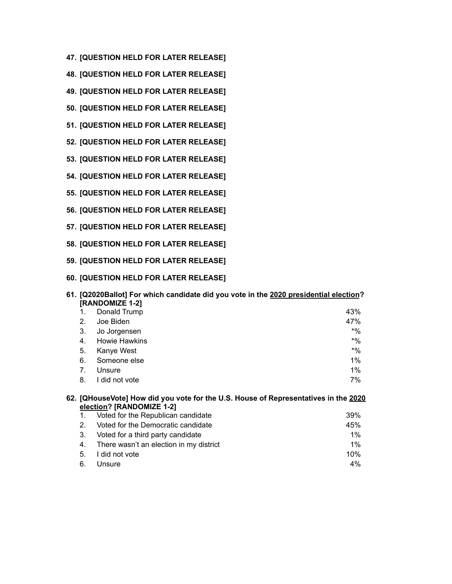- **47. [QUESTION HELD FOR LATER RELEASE]**
- **48. [QUESTION HELD FOR LATER RELEASE]**
- **49. [QUESTION HELD FOR LATER RELEASE]**
- **50. [QUESTION HELD FOR LATER RELEASE]**
- **51. [QUESTION HELD FOR LATER RELEASE]**
- **52. [QUESTION HELD FOR LATER RELEASE]**
- **53. [QUESTION HELD FOR LATER RELEASE]**
- **54. [QUESTION HELD FOR LATER RELEASE]**
- **55. [QUESTION HELD FOR LATER RELEASE]**
- **56. [QUESTION HELD FOR LATER RELEASE]**
- **57. [QUESTION HELD FOR LATER RELEASE]**
- **58. [QUESTION HELD FOR LATER RELEASE]**
- **59. [QUESTION HELD FOR LATER RELEASE]**
- **60. [QUESTION HELD FOR LATER RELEASE]**

| 61. [Q2020Ballot] For which candidate did you vote in the 2020 presidential election?<br>[RANDOMIZE 1-2] |                                                                                     |       |
|----------------------------------------------------------------------------------------------------------|-------------------------------------------------------------------------------------|-------|
|                                                                                                          | Donald Trump                                                                        | 43%   |
| 2.                                                                                                       | Joe Biden                                                                           | 47%   |
| 3.                                                                                                       | Jo Jorgensen                                                                        | $*$ % |
| 4.                                                                                                       | <b>Howie Hawkins</b>                                                                | $*$ % |
| 5.                                                                                                       | Kanye West                                                                          | $*$ % |
| 6.                                                                                                       | Someone else                                                                        | $1\%$ |
| 7.                                                                                                       | Unsure                                                                              | $1\%$ |
| 8.                                                                                                       | I did not vote                                                                      | 7%    |
|                                                                                                          | 62. [QHouseVote] How did you vote for the U.S. House of Representatives in the 2020 |       |

|                | election? [RANDOMIZE 1-2]                  |     |  |  |  |
|----------------|--------------------------------------------|-----|--|--|--|
| $\mathbf{1}$ . | Voted for the Republican candidate         | 39% |  |  |  |
| 2.             | Voted for the Democratic candidate         | 45% |  |  |  |
| 3.             | Voted for a third party candidate          | 1%  |  |  |  |
|                | 4. There wasn't an election in my district | 1%  |  |  |  |
| 5.             | I did not vote                             | 10% |  |  |  |
| 6.             | Unsure                                     | 4%  |  |  |  |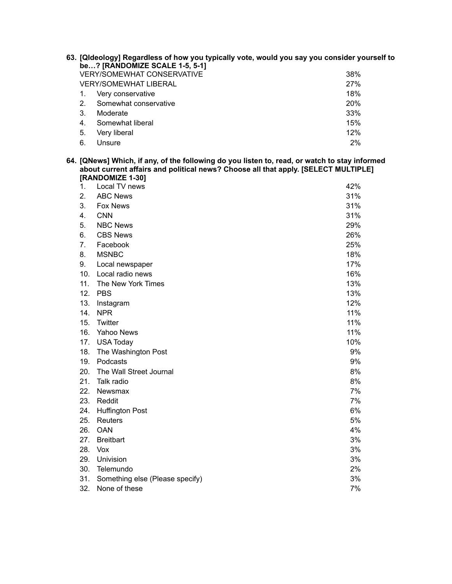|                                     | 63. [Qideology] Regardless of how you typically vote, would you say you consider yourself to<br>be? [RANDOMIZE SCALE 1-5, 5-1] |                       |            |  |
|-------------------------------------|--------------------------------------------------------------------------------------------------------------------------------|-----------------------|------------|--|
| <b>VERY/SOMEWHAT CONSERVATIVE</b>   |                                                                                                                                |                       | 38%        |  |
| 27%<br><b>VERY/SOMEWHAT LIBERAL</b> |                                                                                                                                |                       |            |  |
|                                     |                                                                                                                                | Very conservative     | 18%        |  |
|                                     | 2.                                                                                                                             | Somewhat conservative | <b>20%</b> |  |
|                                     | 3.                                                                                                                             | Moderate              | 33%        |  |
|                                     | 4.                                                                                                                             | Somewhat liberal      | 15%        |  |
|                                     | 5.                                                                                                                             | Very liberal          | 12%        |  |
|                                     | 6.                                                                                                                             | Unsure                | 2%         |  |

### **64. [QNews] Which, if any, of the following do you listen to, read, or watch to stay informed about current affairs and political news? Choose all that apply. [SELECT MULTIPLE] [RANDOMIZE 1-30]**

| 1.  | Local TV news                   | 42% |
|-----|---------------------------------|-----|
| 2.  | <b>ABC News</b>                 | 31% |
| 3.  | Fox News                        | 31% |
| 4.  | <b>CNN</b>                      | 31% |
| 5.  | <b>NBC News</b>                 | 29% |
| 6.  | <b>CBS News</b>                 | 26% |
| 7.  | Facebook                        | 25% |
| 8.  | <b>MSNBC</b>                    | 18% |
| 9.  | Local newspaper                 | 17% |
| 10. | Local radio news                | 16% |
| 11. | The New York Times              | 13% |
| 12. | <b>PBS</b>                      | 13% |
| 13. | Instagram                       | 12% |
| 14. | <b>NPR</b>                      | 11% |
| 15. | Twitter                         | 11% |
| 16. | Yahoo News                      | 11% |
| 17. | <b>USA Today</b>                | 10% |
| 18. | The Washington Post             | 9%  |
| 19. | Podcasts                        | 9%  |
| 20. | The Wall Street Journal         | 8%  |
| 21. | Talk radio                      | 8%  |
| 22. | Newsmax                         | 7%  |
| 23. | Reddit                          | 7%  |
| 24. | <b>Huffington Post</b>          | 6%  |
| 25. | <b>Reuters</b>                  | 5%  |
| 26. | <b>OAN</b>                      | 4%  |
| 27. | <b>Breitbart</b>                | 3%  |
| 28. | Vox                             | 3%  |
| 29. | Univision                       | 3%  |
| 30. | Telemundo                       | 2%  |
| 31. | Something else (Please specify) | 3%  |
| 32. | None of these                   | 7%  |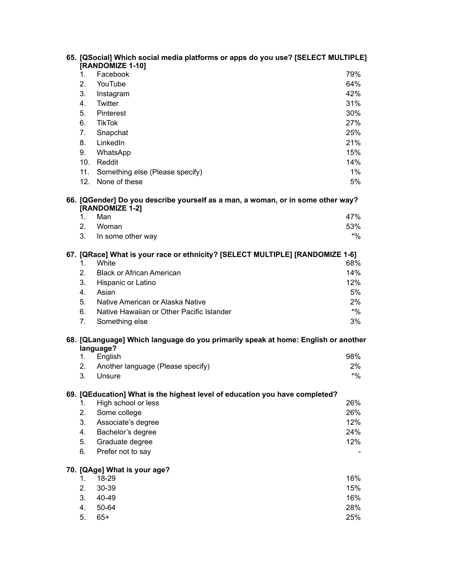| 65. [QSocial] Which social media platforms or apps do you use? [SELECT MULTIPLE]<br>[RANDOMIZE 1-10] |                                                                                                |        |  |
|------------------------------------------------------------------------------------------------------|------------------------------------------------------------------------------------------------|--------|--|
| $1_{-}$                                                                                              | Facebook                                                                                       | 79%    |  |
| 2.                                                                                                   | YouTube                                                                                        | 64%    |  |
| 3.                                                                                                   | Instagram                                                                                      | 42%    |  |
| 4.                                                                                                   | Twitter                                                                                        | 31%    |  |
| 5.                                                                                                   | Pinterest                                                                                      | 30%    |  |
| 6.                                                                                                   | <b>TikTok</b>                                                                                  | 27%    |  |
| 7.                                                                                                   | Snapchat                                                                                       | 25%    |  |
| 8.                                                                                                   | LinkedIn                                                                                       | 21%    |  |
| 9.                                                                                                   | WhatsApp                                                                                       | 15%    |  |
|                                                                                                      | 10. Reddit                                                                                     | 14%    |  |
| 11.                                                                                                  | Something else (Please specify)                                                                | 1%     |  |
|                                                                                                      | 12. None of these                                                                              | 5%     |  |
| 66. [QGender] Do you describe yourself as a man, a woman, or in some other way?<br>[RANDOMIZE 1-2]   |                                                                                                |        |  |
| 1.                                                                                                   | Man                                                                                            | 47%    |  |
| 2.                                                                                                   | Woman                                                                                          | 53%    |  |
| 3.                                                                                                   | In some other way                                                                              | $*9/0$ |  |
|                                                                                                      | 67. [QRace] What is your race or ethnicity? [SELECT MULTIPLE] [RANDOMIZE 1-6]                  |        |  |
| 1.                                                                                                   | White                                                                                          | 68%    |  |
| 2.                                                                                                   | <b>Black or African American</b>                                                               | 14%    |  |
| 3.                                                                                                   | Hispanic or Latino                                                                             | 12%    |  |
| 4.                                                                                                   | Asian                                                                                          | 5%     |  |
| 5.                                                                                                   | Native American or Alaska Native                                                               | 2%     |  |
| 6.                                                                                                   | Native Hawaiian or Other Pacific Islander                                                      | $*$ %  |  |
| 7.                                                                                                   | Something else                                                                                 | 3%     |  |
|                                                                                                      | 68. [QLanguage] Which language do you primarily speak at home: English or another<br>language? |        |  |
| 1.                                                                                                   | English                                                                                        | 98%    |  |
| 2.                                                                                                   | Another language (Please specify)                                                              | 2%     |  |
| 3.                                                                                                   | Unsure                                                                                         | $*9/0$ |  |
|                                                                                                      | 69. [QEducation] What is the highest level of education you have completed?                    |        |  |
| 1.                                                                                                   | High school or less                                                                            | 26%    |  |
| 2.                                                                                                   | Some college                                                                                   | 26%    |  |
| 3.                                                                                                   | Associate's degree                                                                             | 12%    |  |
| 4.                                                                                                   | Bachelor's degree                                                                              | 24%    |  |
| 5.                                                                                                   | Graduate degree                                                                                | 12%    |  |
| 6.                                                                                                   | Prefer not to say                                                                              |        |  |
|                                                                                                      | 70. [QAge] What is your age?                                                                   |        |  |
| 1.                                                                                                   | 18-29                                                                                          | 16%    |  |
| 2.                                                                                                   | 30-39                                                                                          | 15%    |  |
| 3.                                                                                                   | 40-49                                                                                          | 16%    |  |
| 4.                                                                                                   | 50-64                                                                                          | 28%    |  |
| 5.                                                                                                   | $65+$                                                                                          | 25%    |  |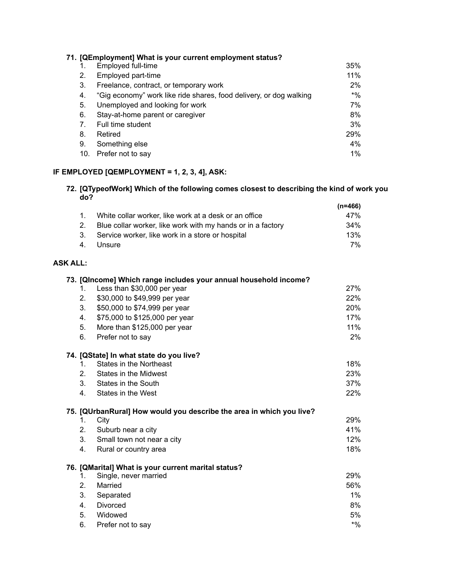|     | 71. [QEmployment] What is your current employment status?          |        |
|-----|--------------------------------------------------------------------|--------|
|     | Employed full-time                                                 | 35%    |
| 2.  | Employed part-time                                                 | 11%    |
| 3.  | Freelance, contract, or temporary work                             | 2%     |
| 4.  | "Gig economy" work like ride shares, food delivery, or dog walking | $*9/6$ |
| 5.  | Unemployed and looking for work                                    | 7%     |
| 6.  | Stay-at-home parent or caregiver                                   | 8%     |
| 7.  | Full time student                                                  | 3%     |
| 8.  | Retired                                                            | 29%    |
| 9.  | Something else                                                     | 4%     |
| 10. | Prefer not to say                                                  | 1%     |

# **IF EMPLOYED [QEMPLOYMENT = 1, 2, 3, 4], ASK:**

# **72. [QTypeofWork] Which of the following comes closest to describing the kind of work you do?**

|             |                                                             | (n=466) |
|-------------|-------------------------------------------------------------|---------|
| $1_{\cdot}$ | White collar worker, like work at a desk or an office       | 47%     |
| 2.          | Blue collar worker, like work with my hands or in a factory | 34%     |
|             | 3. Service worker, like work in a store or hospital         | 13%     |
|             | 4. Unsure                                                   | 7%      |

# **ASK ALL:**

|                | 73. [QIncome] Which range includes your annual household income?     |        |
|----------------|----------------------------------------------------------------------|--------|
| 1.             | Less than \$30,000 per year                                          | 27%    |
| 2.             | \$30,000 to \$49,999 per year                                        | 22%    |
| 3.             | \$50,000 to \$74,999 per year                                        | 20%    |
| 4.             | \$75,000 to \$125,000 per year                                       | 17%    |
| 5.             | More than \$125,000 per year                                         | 11%    |
| 6.             | Prefer not to say                                                    | $2\%$  |
|                | 74. [QState] In what state do you live?                              |        |
| 1.             | States in the Northeast                                              | 18%    |
| 2.             | States in the Midwest                                                | 23%    |
| 3.             | States in the South                                                  | 37%    |
| 4.             | States in the West                                                   | 22%    |
|                | 75. [QUrbanRural] How would you describe the area in which you live? |        |
| 1.             | City                                                                 | 29%    |
| 2.             | Suburb near a city                                                   | 41%    |
| 3.             | Small town not near a city                                           | 12%    |
| 4.             | Rural or country area                                                | 18%    |
|                | 76. [QMarital] What is your current marital status?                  |        |
| 1.             | Single, never married                                                | 29%    |
| 2 <sub>1</sub> | Married                                                              | 56%    |
| 3.             | Separated                                                            | $1\%$  |
| 4.             | <b>Divorced</b>                                                      | 8%     |
| 5.             | Widowed                                                              | 5%     |
| 6.             | Prefer not to say                                                    | $*9/6$ |